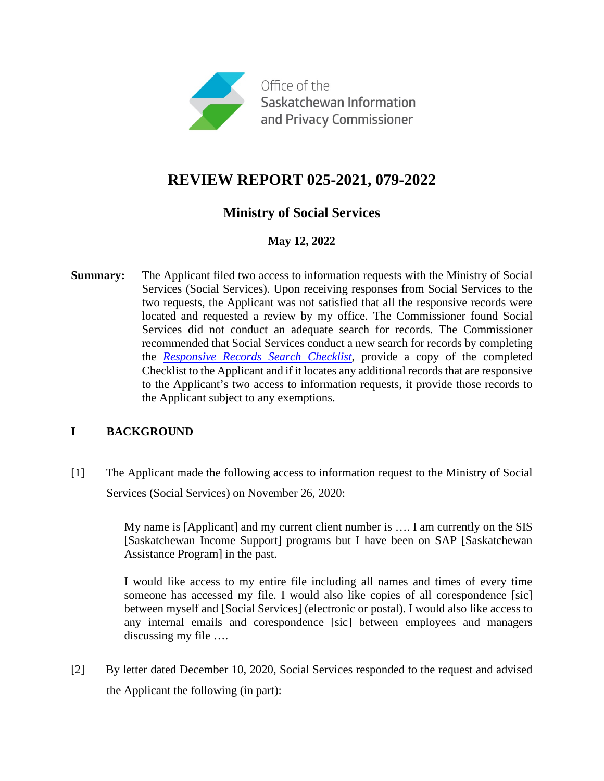

# **REVIEW REPORT 025-2021, 079-2022**

## **Ministry of Social Services**

## **May 12, 2022**

**Summary:** The Applicant filed two access to information requests with the Ministry of Social Services (Social Services). Upon receiving responses from Social Services to the two requests, the Applicant was not satisfied that all the responsive records were located and requested a review by my office. The Commissioner found Social Services did not conduct an adequate search for records. The Commissioner recommended that Social Services conduct a new search for records by completing the *[Responsive Records Search Checklist](https://oipc.sk.ca/resources/resource-directory/responsive-records-search-checklist/)*, provide a copy of the completed Checklist to the Applicant and if it locates any additional records that are responsive to the Applicant's two access to information requests, it provide those records to the Applicant subject to any exemptions.

## **I BACKGROUND**

[1] The Applicant made the following access to information request to the Ministry of Social Services (Social Services) on November 26, 2020:

> My name is [Applicant] and my current client number is …. I am currently on the SIS [Saskatchewan Income Support] programs but I have been on SAP [Saskatchewan Assistance Program] in the past.

> I would like access to my entire file including all names and times of every time someone has accessed my file. I would also like copies of all corespondence [sic] between myself and [Social Services] (electronic or postal). I would also like access to any internal emails and corespondence [sic] between employees and managers discussing my file ….

[2] By letter dated December 10, 2020, Social Services responded to the request and advised the Applicant the following (in part):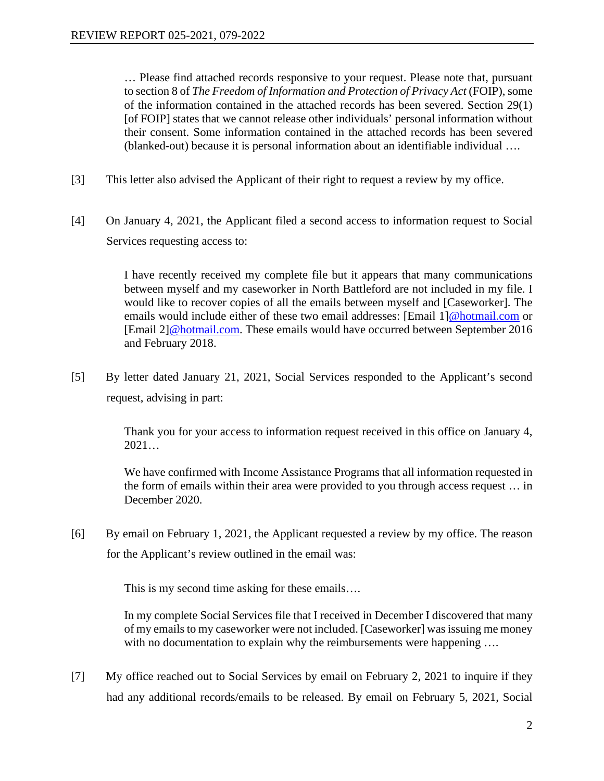… Please find attached records responsive to your request. Please note that, pursuant to section 8 of *The Freedom of Information and Protection of Privacy Act* (FOIP), some of the information contained in the attached records has been severed. Section 29(1) [of FOIP] states that we cannot release other individuals' personal information without their consent. Some information contained in the attached records has been severed (blanked-out) because it is personal information about an identifiable individual ….

- [3] This letter also advised the Applicant of their right to request a review by my office.
- [4] On January 4, 2021, the Applicant filed a second access to information request to Social Services requesting access to:

I have recently received my complete file but it appears that many communications between myself and my caseworker in North Battleford are not included in my file. I would like to recover copies of all the emails between myself and [Caseworker]. The emails would include either of these two email addresses: [Email 1[\]@hotmail.com](mailto:@hotmail.com) or [Email 2[\]@hotmail.com.](mailto:pileocrap@hotmail.com) These emails would have occurred between September 2016 and February 2018.

[5] By letter dated January 21, 2021, Social Services responded to the Applicant's second request, advising in part:

> Thank you for your access to information request received in this office on January 4,  $2021...$

> We have confirmed with Income Assistance Programs that all information requested in the form of emails within their area were provided to you through access request … in December 2020.

[6] By email on February 1, 2021, the Applicant requested a review by my office. The reason for the Applicant's review outlined in the email was:

This is my second time asking for these emails….

In my complete Social Services file that I received in December I discovered that many of my emails to my caseworker were not included. [Caseworker] was issuing me money with no documentation to explain why the reimbursements were happening ....

[7] My office reached out to Social Services by email on February 2, 2021 to inquire if they had any additional records/emails to be released. By email on February 5, 2021, Social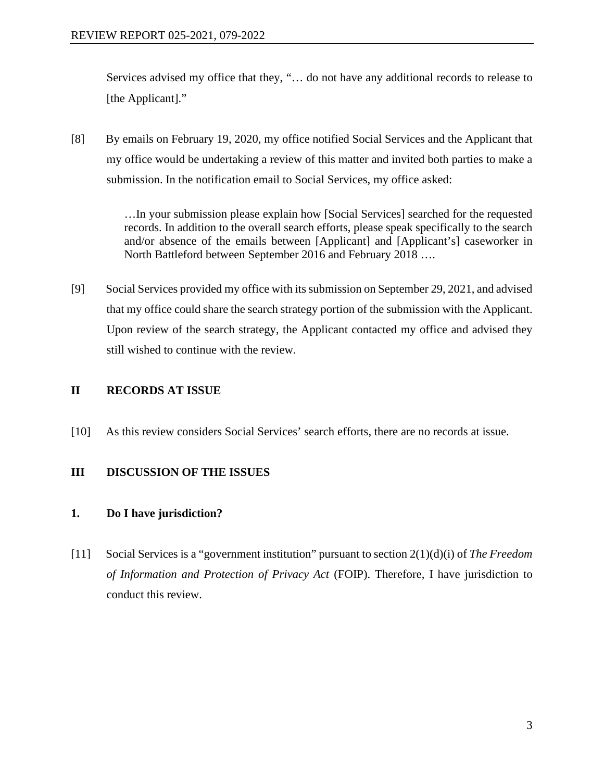Services advised my office that they, "… do not have any additional records to release to [the Applicant]."

[8] By emails on February 19, 2020, my office notified Social Services and the Applicant that my office would be undertaking a review of this matter and invited both parties to make a submission. In the notification email to Social Services, my office asked:

> …In your submission please explain how [Social Services] searched for the requested records. In addition to the overall search efforts, please speak specifically to the search and/or absence of the emails between [Applicant] and [Applicant's] caseworker in North Battleford between September 2016 and February 2018 ….

[9] Social Services provided my office with its submission on September 29, 2021, and advised that my office could share the search strategy portion of the submission with the Applicant. Upon review of the search strategy, the Applicant contacted my office and advised they still wished to continue with the review.

## **II RECORDS AT ISSUE**

[10] As this review considers Social Services' search efforts, there are no records at issue.

## **III DISCUSSION OF THE ISSUES**

## **1. Do I have jurisdiction?**

[11] Social Services is a "government institution" pursuant to section 2(1)(d)(i) of *The Freedom of Information and Protection of Privacy Act* (FOIP). Therefore, I have jurisdiction to conduct this review.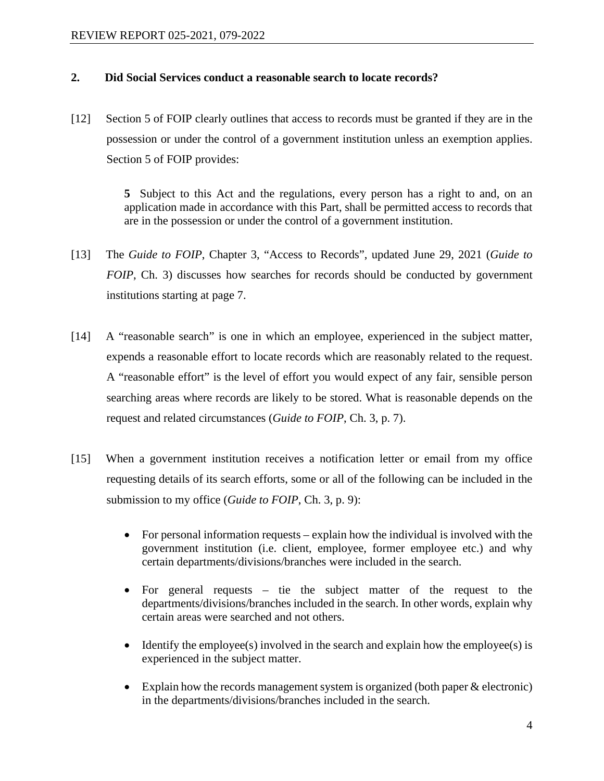#### **2. Did Social Services conduct a reasonable search to locate records?**

[12] Section 5 of FOIP clearly outlines that access to records must be granted if they are in the possession or under the control of a government institution unless an exemption applies. Section 5 of FOIP provides:

> **5** Subject to this Act and the regulations, every person has a right to and, on an application made in accordance with this Part, shall be permitted access to records that are in the possession or under the control of a government institution.

- [13] The *Guide to FOIP*, Chapter 3, "Access to Records", updated June 29, 2021 (*Guide to FOIP*, Ch. 3) discusses how searches for records should be conducted by government institutions starting at page 7.
- [14] A "reasonable search" is one in which an employee, experienced in the subject matter, expends a reasonable effort to locate records which are reasonably related to the request. A "reasonable effort" is the level of effort you would expect of any fair, sensible person searching areas where records are likely to be stored. What is reasonable depends on the request and related circumstances (*Guide to FOIP*, Ch. 3, p. 7).
- [15] When a government institution receives a notification letter or email from my office requesting details of its search efforts, some or all of the following can be included in the submission to my office (*Guide to FOIP*, Ch. 3*,* p. 9):
	- For personal information requests explain how the individual is involved with the government institution (i.e. client, employee, former employee etc.) and why certain departments/divisions/branches were included in the search.
	- For general requests tie the subject matter of the request to the departments/divisions/branches included in the search. In other words, explain why certain areas were searched and not others.
	- Identify the employee(s) involved in the search and explain how the employee(s) is experienced in the subject matter.
	- Explain how the records management system is organized (both paper & electronic) in the departments/divisions/branches included in the search.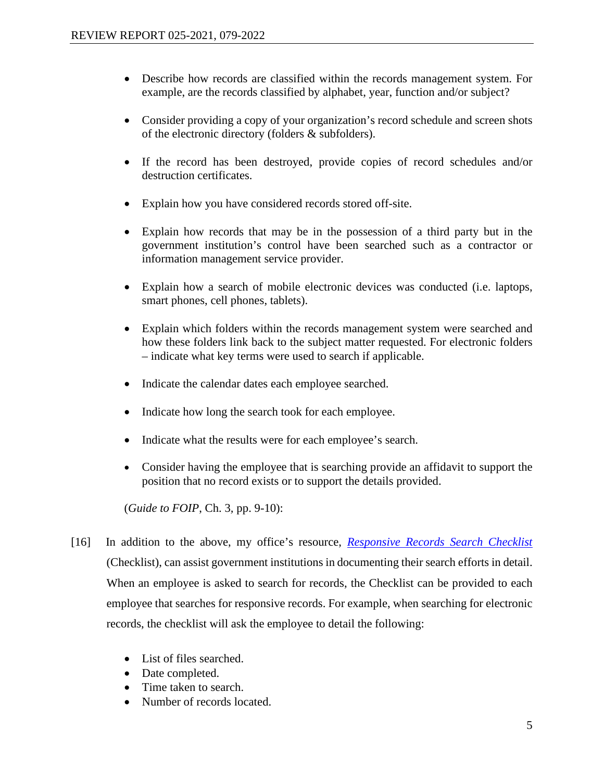- Describe how records are classified within the records management system. For example, are the records classified by alphabet, year, function and/or subject?
- Consider providing a copy of your organization's record schedule and screen shots of the electronic directory (folders & subfolders).
- If the record has been destroyed, provide copies of record schedules and/or destruction certificates.
- Explain how you have considered records stored off-site.
- Explain how records that may be in the possession of a third party but in the government institution's control have been searched such as a contractor or information management service provider.
- Explain how a search of mobile electronic devices was conducted (i.e. laptops, smart phones, cell phones, tablets).
- Explain which folders within the records management system were searched and how these folders link back to the subject matter requested. For electronic folders – indicate what key terms were used to search if applicable.
- Indicate the calendar dates each employee searched.
- Indicate how long the search took for each employee.
- Indicate what the results were for each employee's search.
- Consider having the employee that is searching provide an affidavit to support the position that no record exists or to support the details provided.

(*Guide to FOIP*, Ch. 3*,* pp. 9-10):

- [16] In addition to the above, my office's resource, *[Responsive Records Search Checklist](https://oipc.sk.ca/resources/resource-directory/responsive-records-search-checklist/)* (Checklist), can assist government institutions in documenting their search efforts in detail. When an employee is asked to search for records, the Checklist can be provided to each employee that searches for responsive records. For example, when searching for electronic records, the checklist will ask the employee to detail the following:
	- List of files searched.
	- Date completed.
	- Time taken to search.
	- Number of records located.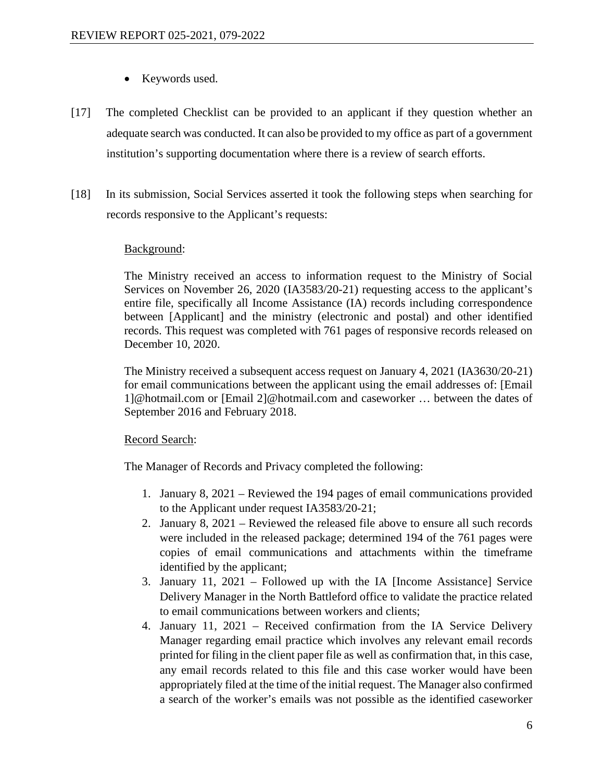- Keywords used.
- [17] The completed Checklist can be provided to an applicant if they question whether an adequate search was conducted. It can also be provided to my office as part of a government institution's supporting documentation where there is a review of search efforts.
- [18] In its submission, Social Services asserted it took the following steps when searching for records responsive to the Applicant's requests:

#### Background:

The Ministry received an access to information request to the Ministry of Social Services on November 26, 2020 (IA3583/20-21) requesting access to the applicant's entire file, specifically all Income Assistance (IA) records including correspondence between [Applicant] and the ministry (electronic and postal) and other identified records. This request was completed with 761 pages of responsive records released on December 10, 2020.

The Ministry received a subsequent access request on January 4, 2021 (IA3630/20-21) for email communications between the applicant using the email addresses of: [Email 1]@hotmail.com or [Email 2]@hotmail.com and caseworker … between the dates of September 2016 and February 2018.

#### Record Search:

The Manager of Records and Privacy completed the following:

- 1. January 8, 2021 Reviewed the 194 pages of email communications provided to the Applicant under request IA3583/20-21;
- 2. January 8, 2021 Reviewed the released file above to ensure all such records were included in the released package; determined 194 of the 761 pages were copies of email communications and attachments within the timeframe identified by the applicant;
- 3. January 11, 2021 Followed up with the IA [Income Assistance] Service Delivery Manager in the North Battleford office to validate the practice related to email communications between workers and clients;
- 4. January 11, 2021 Received confirmation from the IA Service Delivery Manager regarding email practice which involves any relevant email records printed for filing in the client paper file as well as confirmation that, in this case, any email records related to this file and this case worker would have been appropriately filed at the time of the initial request. The Manager also confirmed a search of the worker's emails was not possible as the identified caseworker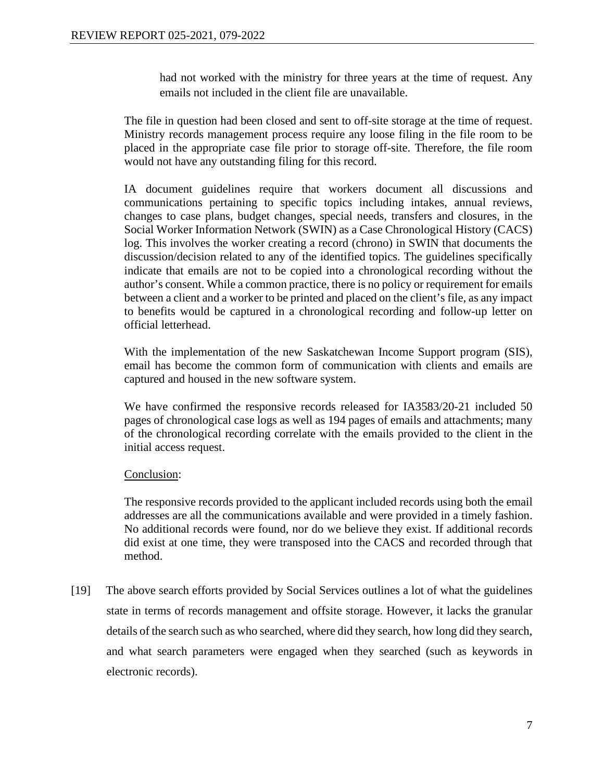had not worked with the ministry for three years at the time of request. Any emails not included in the client file are unavailable.

The file in question had been closed and sent to off-site storage at the time of request. Ministry records management process require any loose filing in the file room to be placed in the appropriate case file prior to storage off-site. Therefore, the file room would not have any outstanding filing for this record.

IA document guidelines require that workers document all discussions and communications pertaining to specific topics including intakes, annual reviews, changes to case plans, budget changes, special needs, transfers and closures, in the Social Worker Information Network (SWIN) as a Case Chronological History (CACS) log. This involves the worker creating a record (chrono) in SWIN that documents the discussion/decision related to any of the identified topics. The guidelines specifically indicate that emails are not to be copied into a chronological recording without the author's consent. While a common practice, there is no policy or requirement for emails between a client and a worker to be printed and placed on the client's file, as any impact to benefits would be captured in a chronological recording and follow-up letter on official letterhead.

With the implementation of the new Saskatchewan Income Support program (SIS), email has become the common form of communication with clients and emails are captured and housed in the new software system.

We have confirmed the responsive records released for IA3583/20-21 included 50 pages of chronological case logs as well as 194 pages of emails and attachments; many of the chronological recording correlate with the emails provided to the client in the initial access request.

## Conclusion:

The responsive records provided to the applicant included records using both the email addresses are all the communications available and were provided in a timely fashion. No additional records were found, nor do we believe they exist. If additional records did exist at one time, they were transposed into the CACS and recorded through that method.

[19] The above search efforts provided by Social Services outlines a lot of what the guidelines state in terms of records management and offsite storage. However, it lacks the granular details of the search such as who searched, where did they search, how long did they search, and what search parameters were engaged when they searched (such as keywords in electronic records).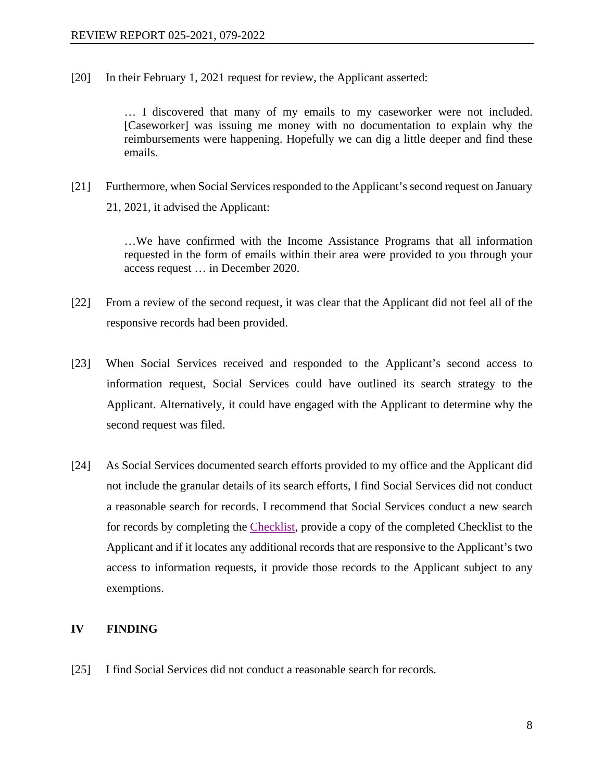[20] In their February 1, 2021 request for review, the Applicant asserted:

… I discovered that many of my emails to my caseworker were not included. [Caseworker] was issuing me money with no documentation to explain why the reimbursements were happening. Hopefully we can dig a little deeper and find these emails.

[21] Furthermore, when Social Services responded to the Applicant's second request on January 21, 2021, it advised the Applicant:

> …We have confirmed with the Income Assistance Programs that all information requested in the form of emails within their area were provided to you through your access request … in December 2020.

- [22] From a review of the second request, it was clear that the Applicant did not feel all of the responsive records had been provided.
- [23] When Social Services received and responded to the Applicant's second access to information request, Social Services could have outlined its search strategy to the Applicant. Alternatively, it could have engaged with the Applicant to determine why the second request was filed.
- [24] As Social Services documented search efforts provided to my office and the Applicant did not include the granular details of its search efforts, I find Social Services did not conduct a reasonable search for records. I recommend that Social Services conduct a new search for records by completing the [Checklist,](https://oipc.sk.ca/resources/resource-directory/responsive-records-search-checklist/) provide a copy of the completed Checklist to the Applicant and if it locates any additional records that are responsive to the Applicant's two access to information requests, it provide those records to the Applicant subject to any exemptions.

## **IV FINDING**

[25] I find Social Services did not conduct a reasonable search for records.